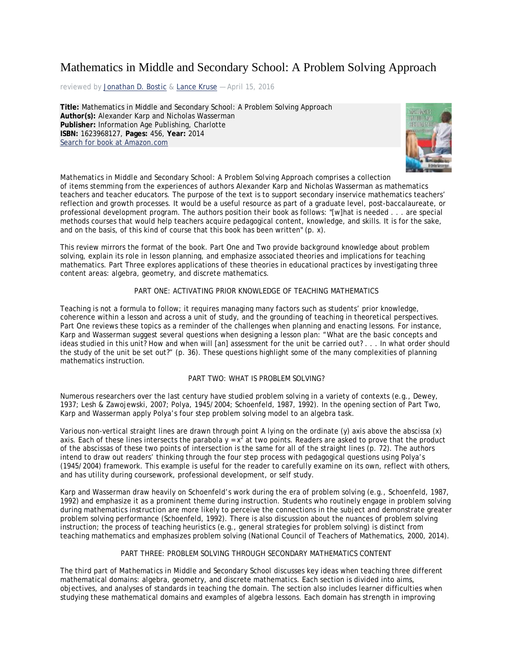# Mathematics in Middle and Secondary School: A Problem Solving Approach

reviewed by [Jonathan D. Bostic](http://www.tcrecord.org/AuthorDisplay.asp?aid=23349) & [Lance Kruse](http://www.tcrecord.org/AuthorDisplay.asp?aid=24832) - April 15, 2016

**Title:** Mathematics in Middle and Secondary School: A Problem Solving Approach **Author(s):** Alexander Karp and Nicholas Wasserman **Publisher:** Information Age Publishing, Charlotte **ISBN:** 1623968127, **Pages:** 456, **Year:** 2014 [Search for book at Amazon.com](http://www.amazon.com/exec/obidos/ASIN/1623968127/teacherscolleger)



*Mathematics in Middle and Secondary School: A Problem Solving Approach* comprises a collection

of items stemming from the experiences of authors Alexander Karp and Nicholas Wasserman as mathematics teachers and teacher educators. The purpose of the text is to support secondary inservice mathematics teachers' reflection and growth processes. It would be a useful resource as part of a graduate level, post-baccalaureate, or professional development program. The authors position their book as follows: "[w]hat is needed . . . are special methods courses that would help teachers acquire pedagogical content, knowledge, and skills. It is for the sake, and on the basis, of this kind of course that this book has been written"  $(p, x)$ .

This review mirrors the format of the book. Part One and Two provide background knowledge about problem solving, explain its role in lesson planning, and emphasize associated theories and implications for teaching mathematics. Part Three explores applications of these theories in educational practices by investigating three content areas: algebra, geometry, and discrete mathematics.

#### PART ONE: ACTIVATING PRIOR KNOWLEDGE OF TEACHING MATHEMATICS

Teaching is not a formula to follow; it requires managing many factors such as students' prior knowledge, coherence within a lesson and across a unit of study, and the grounding of teaching in theoretical perspectives. Part One reviews these topics as a reminder of the challenges when planning and enacting lessons. For instance, Karp and Wasserman suggest several questions when designing a lesson plan: "What are the basic concepts and ideas studied in this unit? How and when will [an] assessment for the unit be carried out? . . . In what order should the study of the unit be set out?" (p. 36). These questions highlight some of the many complexities of planning mathematics instruction.

#### PART TWO: WHAT IS PROBLEM SOLVING?

Numerous researchers over the last century have studied problem solving in a variety of contexts (e.g., Dewey, 1937; Lesh & Zawojewski, 2007; Polya, 1945/2004; Schoenfeld, 1987, 1992). In the opening section of Part Two, Karp and Wasserman apply Polya's four step problem solving model to an algebra task.

Various non-vertical straight lines are drawn through point A lying on the ordinate (*y*) axis above the abscissa (*x*) axis. Each of these lines intersects the parabola  $y = x^2$  at two points. Readers are asked to prove that the product of the abscissas of these two points of intersection is the same for all of the straight lines (p. 72). The authors intend to draw out readers' thinking through the four step process with pedagogical questions using Polya's (1945/2004) framework. This example is useful for the reader to carefully examine on its own, reflect with others, and has utility during coursework, professional development, or self study.

Karp and Wasserman draw heavily on Schoenfeld's work during the era of problem solving (e.g., Schoenfeld, 1987, 1992) and emphasize it as a prominent theme during instruction. Students who routinely engage in problem solving during mathematics instruction are more likely to perceive the connections in the subject and demonstrate greater problem solving performance (Schoenfeld, 1992). There is also discussion about the nuances of problem solving instruction; the process of teaching heuristics (e.g., general strategies for problem solving) is distinct from teaching mathematics and emphasizes problem solving (National Council of Teachers of Mathematics, 2000, 2014).

#### PART THREE: PROBLEM SOLVING THROUGH SECONDARY MATHEMATICS CONTENT

The third part of *Mathematics in Middle and Secondary School* discusses key ideas when teaching three different mathematical domains: algebra, geometry, and discrete mathematics. Each section is divided into aims, objectives, and analyses of standards in teaching the domain. The section also includes learner difficulties when studying these mathematical domains and examples of algebra lessons. Each domain has strength in improving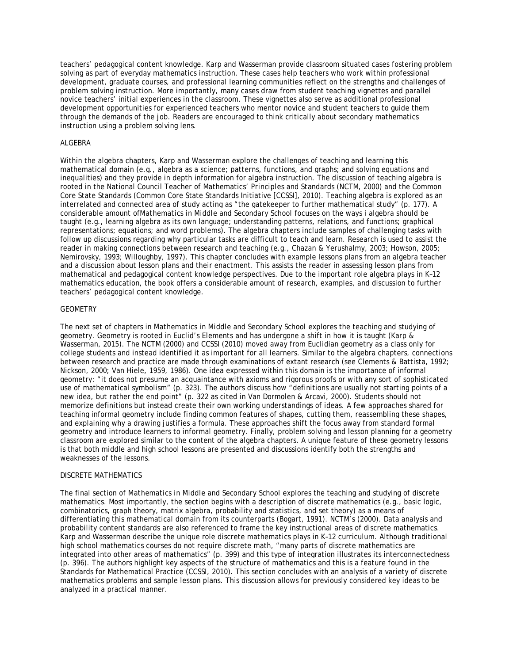teachers' pedagogical content knowledge. Karp and Wasserman provide classroom situated cases fostering problem solving as part of everyday mathematics instruction. These cases help teachers who work within professional development, graduate courses, and professional learning communities reflect on the strengths and challenges of problem solving instruction. More importantly, many cases draw from student teaching vignettes and parallel novice teachers' initial experiences in the classroom. These vignettes also serve as additional professional development opportunities for experienced teachers who mentor novice and student teachers to guide them through the demands of the job. Readers are encouraged to think critically about secondary mathematics instruction using a problem solving lens.

#### ALGEBRA

Within the algebra chapters, Karp and Wasserman explore the challenges of teaching and learning this mathematical domain (e.g., algebra as a science; patterns, functions, and graphs; and solving equations and inequalities) and they provide in depth information for algebra instruction. The discussion of teaching algebra is rooted in the National Council Teacher of Mathematics' *Principles and Standards* (NCTM, 2000) and the Common Core State Standards (Common Core State Standards Initiative [CCSSI], 2010). Teaching algebra is explored as an interrelated and connected area of study acting as "the gatekeeper to further mathematical study" (p. 177). A considerable amount of*Mathematics in Middle and Secondary School* focuses on the ways i algebra should be taught (e.g., learning algebra as its own language; understanding patterns, relations, and functions; graphical representations; equations; and word problems). The algebra chapters include samples of challenging tasks with follow up discussions regarding why particular tasks are difficult to teach and learn. Research is used to assist the reader in making connections between research and teaching (e.g., Chazan & Yerushalmy, 2003; Howson, 2005; Nemirovsky, 1993; Willoughby, 1997). This chapter concludes with example lessons plans from an algebra teacher and a discussion about lesson plans and their enactment. This assists the reader in assessing lesson plans from mathematical and pedagogical content knowledge perspectives. Due to the important role algebra plays in K–12 mathematics education, the book offers a considerable amount of research, examples, and discussion to further teachers' pedagogical content knowledge.

#### GEOMETRY

The next set of chapters in *Mathematics in Middle and Secondary School* explores the teaching and studying of geometry. Geometry is rooted in Euclid's *Elements* and has undergone a shift in how it is taught (Karp & Wasserman, 2015). The NCTM (2000) and CCSSI (2010) moved away from Euclidian geometry as a class only for college students and instead identified it as important for all learners. Similar to the algebra chapters, connections between research and practice are made through examinations of extant research (see Clements & Battista, 1992; Nickson, 2000; Van Hiele, 1959, 1986). One idea expressed within this domain is the importance of informal geometry: "it does not presume an acquaintance with axioms and rigorous proofs or with any sort of sophisticated use of mathematical symbolism" (p. 323). The authors discuss how "definitions are usually not starting points of a new idea, but rather the end point" (p. 322 as cited in Van Dormolen & Arcavi, 2000). Students should not memorize definitions but instead create their own working understandings of ideas. A few approaches shared for teaching informal geometry include finding common features of shapes, cutting them, reassembling these shapes, and explaining why a drawing justifies a formula. These approaches shift the focus away from standard formal geometry and introduce learners to informal geometry. Finally, problem solving and lesson planning for a geometry classroom are explored similar to the content of the algebra chapters. A unique feature of these geometry lessons is that both middle and high school lessons are presented and discussions identify both the strengths and weaknesses of the lessons.

#### DISCRETE MATHEMATICS

The final section of *Mathematics in Middle and Secondary School* explores the teaching and studying of discrete mathematics. Most importantly, the section begins with a description of discrete mathematics (e.g., basic logic, combinatorics, graph theory, matrix algebra, probability and statistics, and set theory) as a means of differentiating this mathematical domain from its counterparts (Bogart, 1991). NCTM's (2000). Data analysis and probability content standards are also referenced to frame the key instructional areas of discrete mathematics. Karp and Wasserman describe the unique role discrete mathematics plays in K–12 curriculum. Although traditional high school mathematics courses do not require discrete math, "many parts of discrete mathematics are integrated into other areas of mathematics" (p. 399) and this type of integration illustrates its interconnectedness (p. 396). The authors highlight key aspects of the structure of mathematics and this is a feature found in the Standards for Mathematical Practice (CCSSI, 2010). This section concludes with an analysis of a variety of discrete mathematics problems and sample lesson plans. This discussion allows for previously considered key ideas to be analyzed in a practical manner.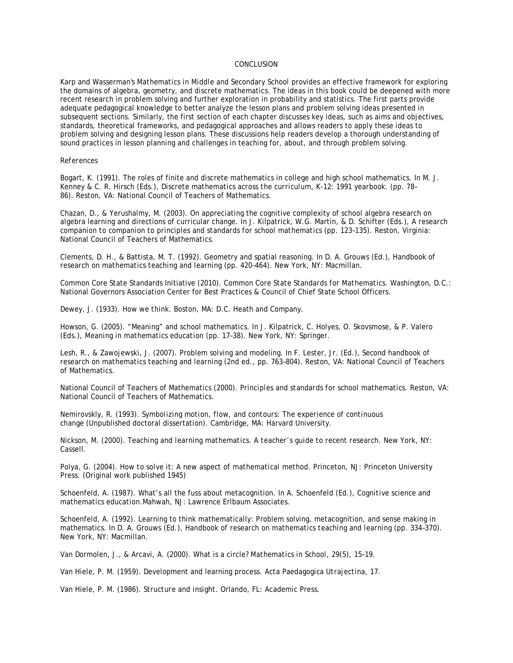#### CONCLUSION

Karp and Wasserman's *Mathematics in Middle and Secondary School* provides an effective framework for exploring the domains of algebra, geometry, and discrete mathematics. The ideas in this book could be deepened with more recent research in problem solving and further exploration in probability and statistics. The first parts provide adequate pedagogical knowledge to better analyze the lesson plans and problem solving ideas presented in subsequent sections. Similarly, the first section of each chapter discusses key ideas, such as aims and objectives, standards, theoretical frameworks, and pedagogical approaches and allows readers to apply these ideas to problem solving and designing lesson plans. These discussions help readers develop a thorough understanding of sound practices in lesson planning and challenges in teaching for, about, and through problem solving.

#### *References*

Bogart, K. (1991). The roles of finite and discrete mathematics in college and high school mathematics. In M. J. Kenney & C. R. Hirsch (Eds.), *Discrete mathematics across the curriculum, K-12: 1991 yearbook.* (pp. 78– 86). Reston, VA: National Council of Teachers of Mathematics.

Chazan, D., & Yerushalmy, M. (2003). On appreciating the cognitive complexity of school algebra research on algebra learning and directions of curricular change. In J. Kilpatrick, W.G. Martin, & D. Schifter (Eds.), *A research companion to companion to principles and standards for school mathematics* (pp. 123–135). Reston, Virginia: National Council of Teachers of Mathematics.

Clements, D. H., & Battista, M. T. (1992). Geometry and spatial reasoning. In D. A. Grouws (Ed.), *Handbook of research on mathematics teaching and learning* (pp. 420–464). New York, NY: Macmillan.

Common Core State Standards Initiative (2010). *Common Core State Standards for Mathematics.* Washington, D.C.: National Governors Association Center for Best Practices & Council of Chief State School Officers.

Dewey, J. (1933). *How we think*. Boston, MA: D.C. Heath and Company.

Howson, G. (2005). "Meaning" and school mathematics. In J. Kilpatrick, C. Holyes, O. Skovsmose, & P. Valero (Eds.), *Meaning in mathematics education* (pp. 17–38). New York, NY: Springer.

Lesh, R., & Zawojewski, J. (2007). Problem solving and modeling. In F. Lester, Jr. (Ed.), *Second handbook of research on mathematics teaching and learning* (2nd ed., pp. 763–804). Reston, VA: National Council of Teachers of Mathematics.

National Council of Teachers of Mathematics (2000). *Principles and standards for school mathematics.* Reston, VA: National Council of Teachers of Mathematics.

Nemirovskly, R. (1993). *Symbolizing motion, flow, and contours: The experience of continuous change* (Unpublished doctoral dissertation). Cambridge, MA: Harvard University.

Nickson, M. (2000). *Teaching and learning mathematics. A teacher's guide to recent research.* New York, NY: Cassell.

Polya, G. (2004). *How to solve it: A new aspect of mathematical method*. Princeton, NJ: Princeton University Press. (Original work published 1945)

Schoenfeld, A. (1987). What's all the fuss about metacognition. In A. Schoenfeld (Ed.), *Cognitive science and mathematics education.*Mahwah, NJ: Lawrence Erlbaum Associates.

Schoenfeld, A. (1992). Learning to think mathematically: Problem solving, metacognition, and sense making in mathematics. In D. A. Grouws (Ed.), *Handbook of research on mathematics teaching and learning* (pp. 334–370). New York, NY: Macmillan.

Van Dormolen, J., & Arcavi, A. (2000). What is a circle? *Mathematics in School, 29*(5), 15–19.

Van Hiele, P. M. (1959). Development and learning process. *Acta Paedagogica Utrajectina, 17*.

Van Hiele, P. M. (1986). *Structure and insight.* Orlando, FL: Academic Press.